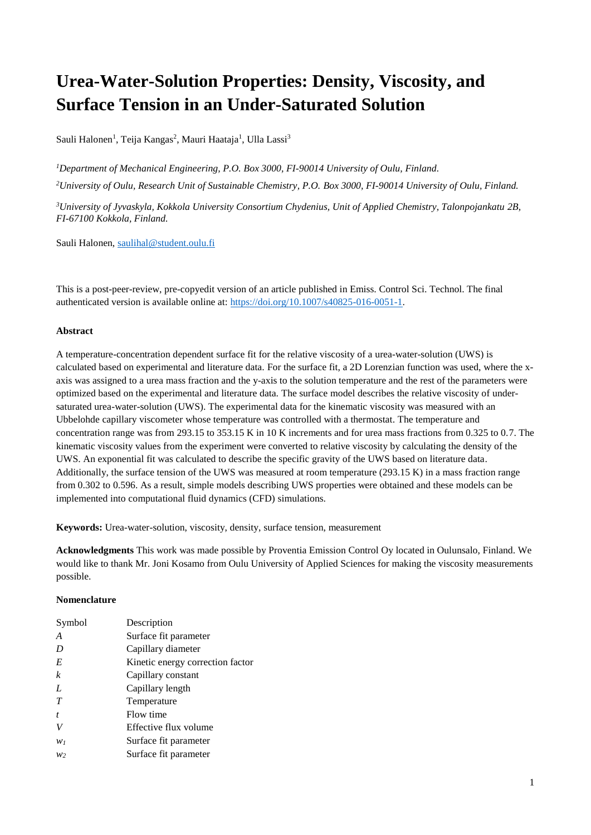# **Urea-Water-Solution Properties: Density, Viscosity, and Surface Tension in an Under-Saturated Solution**

Sauli Halonen<sup>1</sup>, Teija Kangas<sup>2</sup>, Mauri Haataja<sup>1</sup>, Ulla Lassi<sup>3</sup>

*<sup>1</sup>Department of Mechanical Engineering, P.O. Box 3000, FI-90014 University of Oulu, Finland. <sup>2</sup>University of Oulu, Research Unit of Sustainable Chemistry, P.O. Box 3000, FI-90014 University of Oulu, Finland.*

*<sup>3</sup>University of Jyvaskyla, Kokkola University Consortium Chydenius, Unit of Applied Chemistry, Talonpojankatu 2B, FI-67100 Kokkola, Finland.*

Sauli Halonen, [saulihal@student.oulu.fi](mailto:saulihal@student.oulu.fi)

This is a post-peer-review, pre-copyedit version of an article published in Emiss. Control Sci. Technol. The final authenticated version is available online at: [https://doi.org/10.1007/s40825-016-0051-1.](https://doi.org/10.1007/s40825-016-0051-1)

#### **Abstract**

A temperature-concentration dependent surface fit for the relative viscosity of a urea-water-solution (UWS) is calculated based on experimental and literature data. For the surface fit, a 2D Lorenzian function was used, where the xaxis was assigned to a urea mass fraction and the y-axis to the solution temperature and the rest of the parameters were optimized based on the experimental and literature data. The surface model describes the relative viscosity of undersaturated urea-water-solution (UWS). The experimental data for the kinematic viscosity was measured with an Ubbelohde capillary viscometer whose temperature was controlled with a thermostat. The temperature and concentration range was from 293.15 to 353.15 K in 10 K increments and for urea mass fractions from 0.325 to 0.7. The kinematic viscosity values from the experiment were converted to relative viscosity by calculating the density of the UWS. An exponential fit was calculated to describe the specific gravity of the UWS based on literature data. Additionally, the surface tension of the UWS was measured at room temperature (293.15 K) in a mass fraction range from 0.302 to 0.596. As a result, simple models describing UWS properties were obtained and these models can be implemented into computational fluid dynamics (CFD) simulations.

**Keywords:** Urea-water-solution, viscosity, density, surface tension, measurement

**Acknowledgments** This work was made possible by Proventia Emission Control Oy located in Oulunsalo, Finland. We would like to thank Mr. Joni Kosamo from Oulu University of Applied Sciences for making the viscosity measurements possible.

#### **Nomenclature**

| Symbol           | Description                      |
|------------------|----------------------------------|
|                  |                                  |
| A                | Surface fit parameter            |
| D                | Capillary diameter               |
| E                | Kinetic energy correction factor |
| $\boldsymbol{k}$ | Capillary constant               |
| L                | Capillary length                 |
| T                | Temperature                      |
| $\boldsymbol{f}$ | Flow time                        |
|                  | Effective flux volume            |
| $W_1$            | Surface fit parameter            |
| W <sub>2</sub>   | Surface fit parameter            |
|                  |                                  |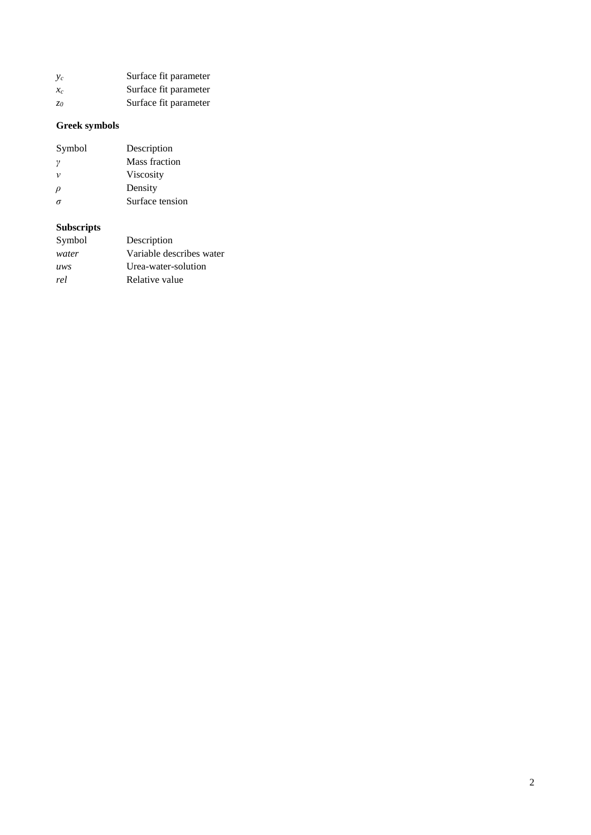| $v_c$             | Surface fit parameter |
|-------------------|-----------------------|
| $\mathcal{X}_{c}$ | Surface fit parameter |
| Z0                | Surface fit parameter |

### **Greek symbols**

| Symbol | Description     |
|--------|-----------------|
| ν      | Mass fraction   |
| ν      | Viscosity       |
| ρ      | Density         |
|        | Surface tension |
|        |                 |

### **Subscripts**

| Symbol | Description              |
|--------|--------------------------|
| water  | Variable describes water |
| uws    | Urea-water-solution      |
| rel    | Relative value           |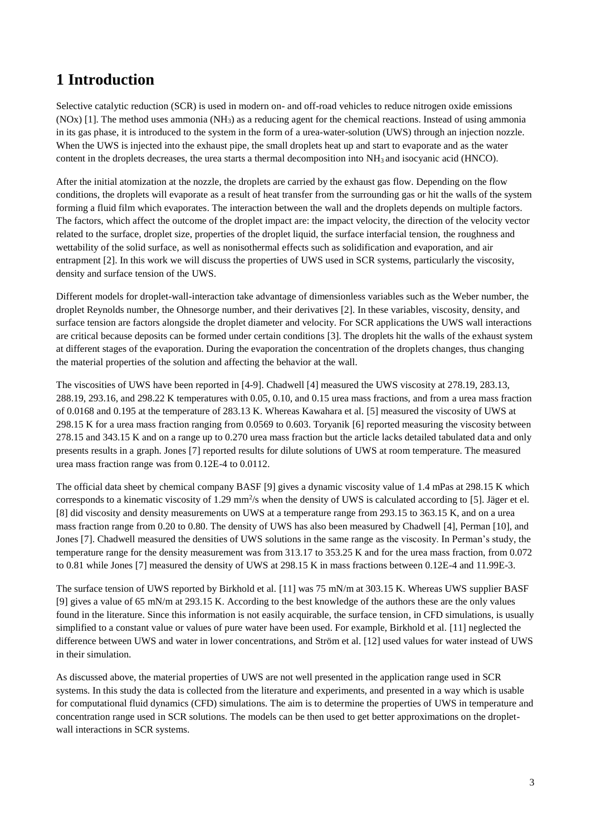### **1 Introduction**

Selective catalytic reduction (SCR) is used in modern on- and off-road vehicles to reduce nitrogen oxide emissions  $(NOx)$  [1]. The method uses ammonia  $(NH<sub>3</sub>)$  as a reducing agent for the chemical reactions. Instead of using ammonia in its gas phase, it is introduced to the system in the form of a urea-water-solution (UWS) through an injection nozzle. When the UWS is injected into the exhaust pipe, the small droplets heat up and start to evaporate and as the water content in the droplets decreases, the urea starts a thermal decomposition into NH<sup>3</sup> and isocyanic acid (HNCO).

After the initial atomization at the nozzle, the droplets are carried by the exhaust gas flow. Depending on the flow conditions, the droplets will evaporate as a result of heat transfer from the surrounding gas or hit the walls of the system forming a fluid film which evaporates. The interaction between the wall and the droplets depends on multiple factors. The factors, which affect the outcome of the droplet impact are: the impact velocity, the direction of the velocity vector related to the surface, droplet size, properties of the droplet liquid, the surface interfacial tension, the roughness and wettability of the solid surface, as well as nonisothermal effects such as solidification and evaporation, and air entrapment [2]. In this work we will discuss the properties of UWS used in SCR systems, particularly the viscosity, density and surface tension of the UWS.

Different models for droplet-wall-interaction take advantage of dimensionless variables such as the Weber number, the droplet Reynolds number, the Ohnesorge number, and their derivatives [2]. In these variables, viscosity, density, and surface tension are factors alongside the droplet diameter and velocity. For SCR applications the UWS wall interactions are critical because deposits can be formed under certain conditions [3]. The droplets hit the walls of the exhaust system at different stages of the evaporation. During the evaporation the concentration of the droplets changes, thus changing the material properties of the solution and affecting the behavior at the wall.

The viscosities of UWS have been reported in [4-9]. Chadwell [4] measured the UWS viscosity at 278.19, 283.13, 288.19, 293.16, and 298.22 K temperatures with 0.05, 0.10, and 0.15 urea mass fractions, and from a urea mass fraction of 0.0168 and 0.195 at the temperature of 283.13 K. Whereas Kawahara et al. [5] measured the viscosity of UWS at 298.15 K for a urea mass fraction ranging from 0.0569 to 0.603. Toryanik [6] reported measuring the viscosity between 278.15 and 343.15 K and on a range up to 0.270 urea mass fraction but the article lacks detailed tabulated data and only presents results in a graph. Jones [7] reported results for dilute solutions of UWS at room temperature. The measured urea mass fraction range was from 0.12E-4 to 0.0112.

The official data sheet by chemical company BASF [9] gives a dynamic viscosity value of 1.4 mPas at 298.15 K which corresponds to a kinematic viscosity of  $1.29 \text{ mm}^2/\text{s}$  when the density of UWS is calculated according to [5]. Jäger et el. [8] did viscosity and density measurements on UWS at a temperature range from 293.15 to 363.15 K, and on a urea mass fraction range from 0.20 to 0.80. The density of UWS has also been measured by Chadwell [4], Perman [10], and Jones [7]. Chadwell measured the densities of UWS solutions in the same range as the viscosity. In Perman's study, the temperature range for the density measurement was from 313.17 to 353.25 K and for the urea mass fraction, from 0.072 to 0.81 while Jones [7] measured the density of UWS at 298.15 K in mass fractions between 0.12E-4 and 11.99E-3.

The surface tension of UWS reported by Birkhold et al. [11] was 75 mN/m at 303.15 K. Whereas UWS supplier BASF [9] gives a value of 65 mN/m at 293.15 K. According to the best knowledge of the authors these are the only values found in the literature. Since this information is not easily acquirable, the surface tension, in CFD simulations, is usually simplified to a constant value or values of pure water have been used. For example, Birkhold et al. [11] neglected the difference between UWS and water in lower concentrations, and Ström et al. [12] used values for water instead of UWS in their simulation.

As discussed above, the material properties of UWS are not well presented in the application range used in SCR systems. In this study the data is collected from the literature and experiments, and presented in a way which is usable for computational fluid dynamics (CFD) simulations. The aim is to determine the properties of UWS in temperature and concentration range used in SCR solutions. The models can be then used to get better approximations on the dropletwall interactions in SCR systems.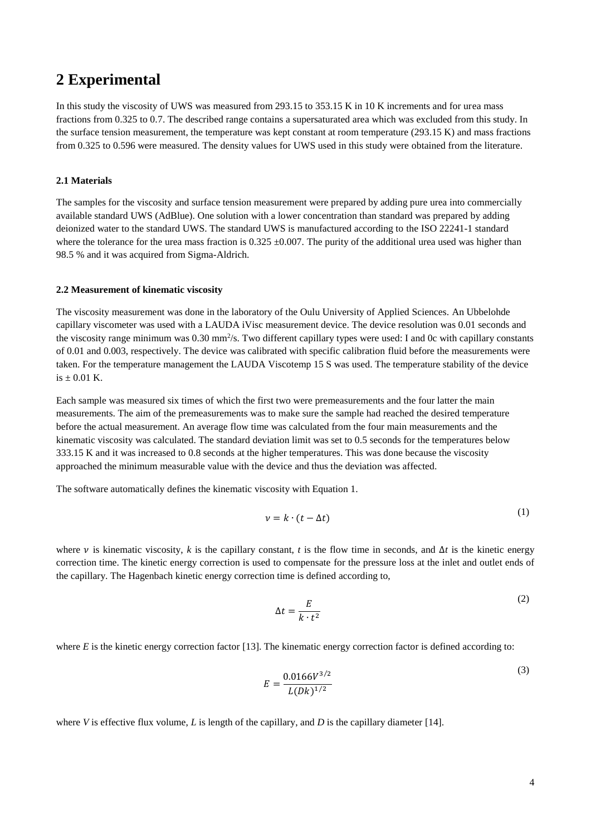### **2 Experimental**

In this study the viscosity of UWS was measured from 293.15 to 353.15 K in 10 K increments and for urea mass fractions from 0.325 to 0.7. The described range contains a supersaturated area which was excluded from this study. In the surface tension measurement, the temperature was kept constant at room temperature (293.15 K) and mass fractions from 0.325 to 0.596 were measured. The density values for UWS used in this study were obtained from the literature.

#### **2.1 Materials**

The samples for the viscosity and surface tension measurement were prepared by adding pure urea into commercially available standard UWS (AdBlue). One solution with a lower concentration than standard was prepared by adding deionized water to the standard UWS. The standard UWS is manufactured according to the ISO 22241-1 standard where the tolerance for the urea mass fraction is  $0.325 \pm 0.007$ . The purity of the additional urea used was higher than 98.5 % and it was acquired from Sigma-Aldrich.

#### **2.2 Measurement of kinematic viscosity**

The viscosity measurement was done in the laboratory of the Oulu University of Applied Sciences. An Ubbelohde capillary viscometer was used with a LAUDA iVisc measurement device. The device resolution was 0.01 seconds and the viscosity range minimum was 0.30 mm<sup>2</sup>/s. Two different capillary types were used: I and 0c with capillary constants of 0.01 and 0.003, respectively. The device was calibrated with specific calibration fluid before the measurements were taken. For the temperature management the LAUDA Viscotemp 15 S was used. The temperature stability of the device is  $\pm$  0.01 K.

Each sample was measured six times of which the first two were premeasurements and the four latter the main measurements. The aim of the premeasurements was to make sure the sample had reached the desired temperature before the actual measurement. An average flow time was calculated from the four main measurements and the kinematic viscosity was calculated. The standard deviation limit was set to 0.5 seconds for the temperatures below 333.15 K and it was increased to 0.8 seconds at the higher temperatures. This was done because the viscosity approached the minimum measurable value with the device and thus the deviation was affected.

The software automatically defines the kinematic viscosity with Equation 1.

$$
\nu = k \cdot (t - \Delta t) \tag{1}
$$

where v is kinematic viscosity, k is the capillary constant, t is the flow time in seconds, and  $\Delta t$  is the kinetic energy correction time. The kinetic energy correction is used to compensate for the pressure loss at the inlet and outlet ends of the capillary. The Hagenbach kinetic energy correction time is defined according to,

$$
\Delta t = \frac{E}{k \cdot t^2} \tag{2}
$$

where *E* is the kinetic energy correction factor [13]. The kinematic energy correction factor is defined according to:

$$
E = \frac{0.0166V^{3/2}}{L(Dk)^{1/2}}
$$

where *V* is effective flux volume, *L* is length of the capillary, and *D* is the capillary diameter [14].

 $(2)$ 

 $(1)$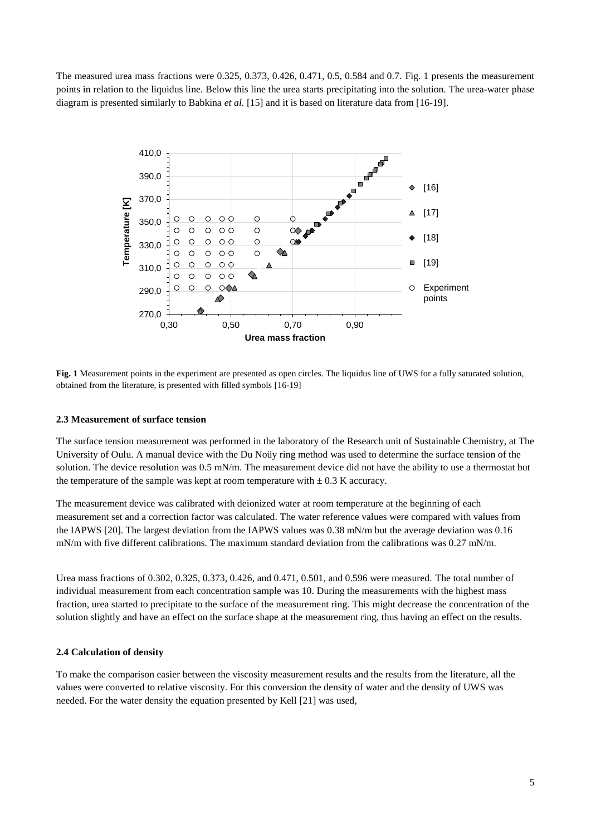The measured urea mass fractions were 0.325, 0.373, 0.426, 0.471, 0.5, 0.584 and 0.7. Fig. 1 presents the measurement points in relation to the liquidus line. Below this line the urea starts precipitating into the solution. The urea-water phase diagram is presented similarly to Babkina *et al.* [15] and it is based on literature data from [16-19].



**Fig. 1** Measurement points in the experiment are presented as open circles. The liquidus line of UWS for a fully saturated solution, obtained from the literature, is presented with filled symbols [16-19]

#### **2.3 Measurement of surface tension**

The surface tension measurement was performed in the laboratory of the Research unit of Sustainable Chemistry, at The University of Oulu. A manual device with the Du Noüy ring method was used to determine the surface tension of the solution. The device resolution was 0.5 mN/m. The measurement device did not have the ability to use a thermostat but the temperature of the sample was kept at room temperature with  $\pm$  0.3 K accuracy.

The measurement device was calibrated with deionized water at room temperature at the beginning of each measurement set and a correction factor was calculated. The water reference values were compared with values from the IAPWS [20]. The largest deviation from the IAPWS values was 0.38 mN/m but the average deviation was 0.16 mN/m with five different calibrations. The maximum standard deviation from the calibrations was 0.27 mN/m.

Urea mass fractions of 0.302, 0.325, 0.373, 0.426, and 0.471, 0.501, and 0.596 were measured. The total number of individual measurement from each concentration sample was 10. During the measurements with the highest mass fraction, urea started to precipitate to the surface of the measurement ring. This might decrease the concentration of the solution slightly and have an effect on the surface shape at the measurement ring, thus having an effect on the results.

#### **2.4 Calculation of density**

To make the comparison easier between the viscosity measurement results and the results from the literature, all the values were converted to relative viscosity. For this conversion the density of water and the density of UWS was needed. For the water density the equation presented by Kell [21] was used,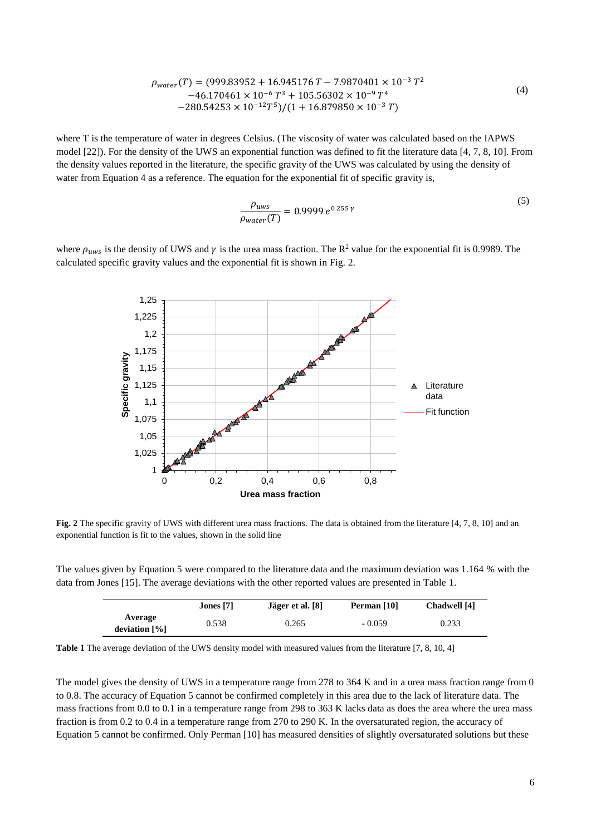$$
\rho_{water}(T) = (999.83952 + 16.945176 T - 7.9870401 \times 10^{-3} T^2 \n-46.170461 \times 10^{-6} T^3 + 105.56302 \times 10^{-9} T^4 \n-280.54253 \times 10^{-12} T^5)/(1 + 16.879850 \times 10^{-3} T)
$$
\n(4)

where T is the temperature of water in degrees Celsius. (The viscosity of water was calculated based on the IAPWS model [22]). For the density of the UWS an exponential function was defined to fit the literature data [4, 7, 8, 10]. From the density values reported in the literature, the specific gravity of the UWS was calculated by using the density of water from Equation 4 as a reference. The equation for the exponential fit of specific gravity is,

$$
\frac{\rho_{uws}}{\rho_{water}(T)} = 0.9999 e^{0.255 \gamma}
$$
\n<sup>(5)</sup>

where  $\rho_{uws}$  is the density of UWS and  $\gamma$  is the urea mass fraction. The R<sup>2</sup> value for the exponential fit is 0.9989. The calculated specific gravity values and the exponential fit is shown in Fig. 2.



**Fig. 2** The specific gravity of UWS with different urea mass fractions. The data is obtained from the literature [4, 7, 8, 10] and an exponential function is fit to the values, shown in the solid line

The values given by Equation 5 were compared to the literature data and the maximum deviation was 1.164 % with the data from Jones [15]. The average deviations with the other reported values are presented in Table 1.

|                                         | Jones $[7]$ | Jäger et al. [8] | Perman [10] | Chadwell [4] |
|-----------------------------------------|-------------|------------------|-------------|--------------|
| Average<br>deviation $\lceil \% \rceil$ | 0.538       | 0.265            | $-0.059$    | 0.233        |

**Table 1** The average deviation of the UWS density model with measured values from the literature [7, 8, 10, 4]

The model gives the density of UWS in a temperature range from 278 to 364 K and in a urea mass fraction range from 0 to 0.8. The accuracy of Equation 5 cannot be confirmed completely in this area due to the lack of literature data. The mass fractions from 0.0 to 0.1 in a temperature range from 298 to 363 K lacks data as does the area where the urea mass fraction is from 0.2 to 0.4 in a temperature range from 270 to 290 K. In the oversaturated region, the accuracy of Equation 5 cannot be confirmed. Only Perman [10] has measured densities of slightly oversaturated solutions but these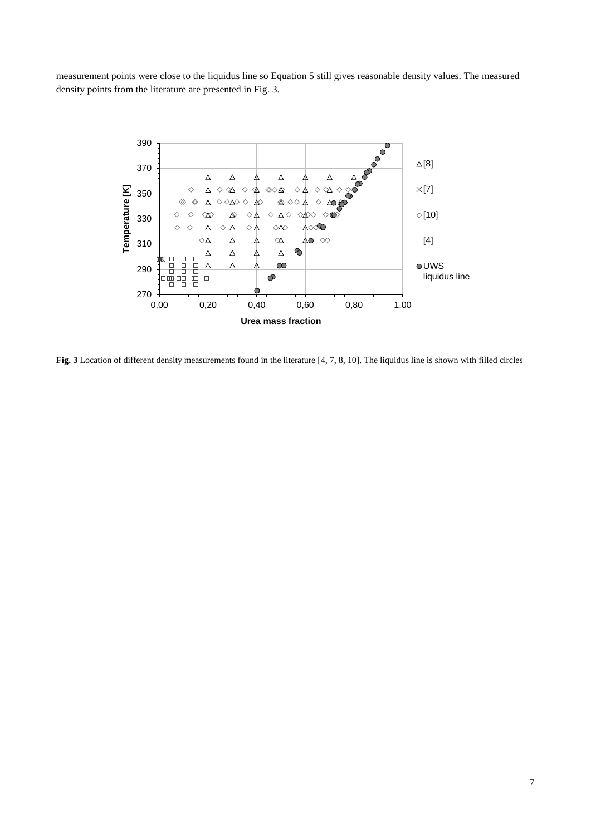measurement points were close to the liquidus line so Equation 5 still gives reasonable density values. The measured density points from the literature are presented in Fig. 3.



**Fig. 3** Location of different density measurements found in the literature [4, 7, 8, 10]. The liquidus line is shown with filled circles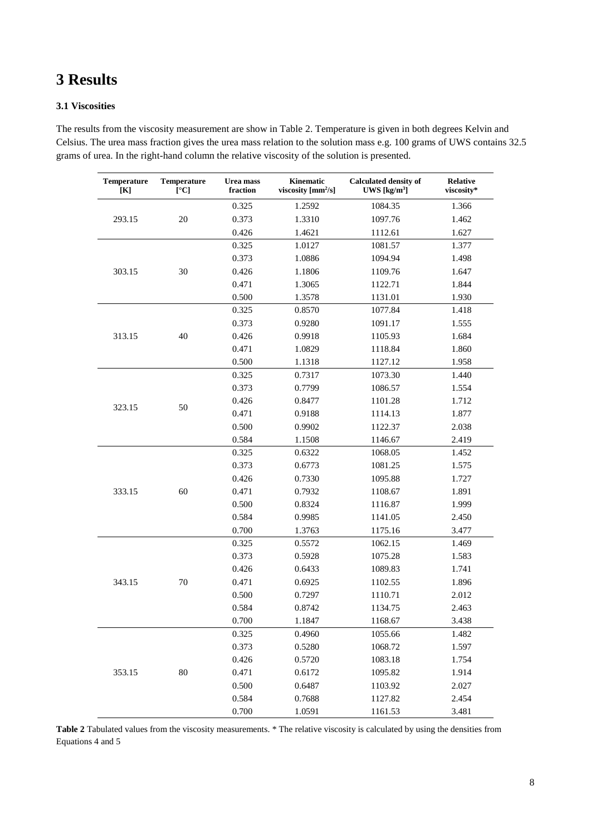## **3 Results**

#### **3.1 Viscosities**

The results from the viscosity measurement are show in Table 2. Temperature is given in both degrees Kelvin and Celsius. The urea mass fraction gives the urea mass relation to the solution mass e.g. 100 grams of UWS contains 32.5 grams of urea. In the right-hand column the relative viscosity of the solution is presented.

| <b>Temperature</b><br>[K] | <b>Temperature</b><br>[°C] | Urea mass<br>fraction | Kinematic<br>viscosity $[mm^2/s]$ | <b>Calculated density of</b><br>UWS $[\text{kg/m}^3]$ | <b>Relative</b><br>viscosity* |
|---------------------------|----------------------------|-----------------------|-----------------------------------|-------------------------------------------------------|-------------------------------|
|                           |                            | 0.325                 | 1.2592                            | 1084.35                                               | 1.366                         |
| 293.15                    | 20                         | 0.373                 | 1.3310                            | 1097.76                                               | 1.462                         |
|                           |                            | 0.426                 | 1.4621                            | 1112.61                                               | 1.627                         |
|                           |                            | 0.325                 | 1.0127                            | 1081.57                                               | 1.377                         |
|                           |                            | 0.373                 | 1.0886                            | 1094.94                                               | 1.498                         |
| 303.15                    | 30                         | 0.426                 | 1.1806                            | 1109.76                                               | 1.647                         |
|                           |                            | 0.471                 | 1.3065                            | 1122.71                                               | 1.844                         |
|                           |                            | 0.500                 | 1.3578                            | 1131.01                                               | 1.930                         |
|                           |                            | 0.325                 | 0.8570                            | 1077.84                                               | 1.418                         |
|                           |                            | 0.373                 | 0.9280                            | 1091.17                                               | 1.555                         |
| 313.15                    | 40                         | 0.426                 | 0.9918                            | 1105.93                                               | 1.684                         |
|                           |                            | 0.471                 | 1.0829                            | 1118.84                                               | 1.860                         |
|                           |                            | 0.500                 | 1.1318                            | 1127.12                                               | 1.958                         |
|                           |                            | 0.325                 | 0.7317                            | 1073.30                                               | 1.440                         |
|                           |                            | 0.373                 | 0.7799                            | 1086.57                                               | 1.554                         |
|                           |                            | 0.426                 | 0.8477                            | 1101.28                                               | 1.712                         |
| 323.15                    | 50                         | 0.471                 | 0.9188                            | 1114.13                                               | 1.877                         |
|                           |                            | 0.500                 | 0.9902                            | 1122.37                                               | 2.038                         |
|                           |                            | 0.584                 | 1.1508                            | 1146.67                                               | 2.419                         |
|                           |                            | 0.325                 | 0.6322                            | 1068.05                                               | 1.452                         |
|                           |                            | 0.373                 | 0.6773                            | 1081.25                                               | 1.575                         |
|                           |                            | 0.426                 | 0.7330                            | 1095.88                                               | 1.727                         |
| 333.15                    | 60                         | 0.471                 | 0.7932                            | 1108.67                                               | 1.891                         |
|                           |                            | 0.500                 | 0.8324                            | 1116.87                                               | 1.999                         |
|                           |                            | 0.584                 | 0.9985                            | 1141.05                                               | 2.450                         |
|                           |                            | 0.700                 | 1.3763                            | 1175.16                                               | 3.477                         |
|                           |                            | 0.325                 | 0.5572                            | 1062.15                                               | 1.469                         |
|                           |                            | 0.373                 | 0.5928                            | 1075.28                                               | 1.583                         |
|                           |                            | 0.426                 | 0.6433                            | 1089.83                                               | 1.741                         |
| 343.15                    | 70                         | 0.471                 | 0.6925                            | 1102.55                                               | 1.896                         |
|                           |                            | 0.500                 | 0.7297                            | 1110.71                                               | 2.012                         |
|                           |                            | 0.584                 | 0.8742                            | 1134.75                                               | 2.463                         |
|                           |                            | 0.700                 | 1.1847                            | 1168.67                                               | 3.438                         |
| 353.15                    |                            | 0.325                 | 0.4960                            | 1055.66                                               | 1.482                         |
|                           |                            | 0.373                 | 0.5280                            | 1068.72                                               | 1.597                         |
|                           | $80\,$                     | 0.426                 | 0.5720                            | 1083.18                                               | 1.754                         |
|                           |                            | 0.471                 | 0.6172                            | 1095.82                                               | 1.914                         |
|                           |                            | 0.500                 | 0.6487                            | 1103.92                                               | 2.027                         |
|                           |                            | 0.584                 | 0.7688                            | 1127.82                                               | 2.454                         |
|                           |                            | 0.700                 | 1.0591                            | 1161.53                                               | 3.481                         |

**Table 2** Tabulated values from the viscosity measurements. \* The relative viscosity is calculated by using the densities from Equations 4 and 5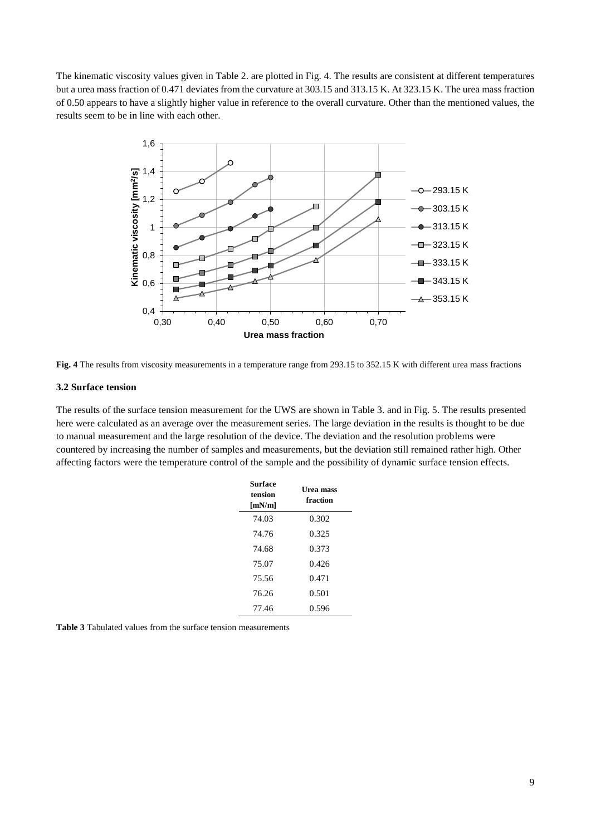The kinematic viscosity values given in Table 2. are plotted in Fig. 4. The results are consistent at different temperatures but a urea mass fraction of 0.471 deviates from the curvature at 303.15 and 313.15 K. At 323.15 K. The urea mass fraction of 0.50 appears to have a slightly higher value in reference to the overall curvature. Other than the mentioned values, the results seem to be in line with each other.



**Fig. 4** The results from viscosity measurements in a temperature range from 293.15 to 352.15 K with different urea mass fractions

#### **3.2 Surface tension**

The results of the surface tension measurement for the UWS are shown in Table 3. and in Fig. 5. The results presented here were calculated as an average over the measurement series. The large deviation in the results is thought to be due to manual measurement and the large resolution of the device. The deviation and the resolution problems were countered by increasing the number of samples and measurements, but the deviation still remained rather high. Other affecting factors were the temperature control of the sample and the possibility of dynamic surface tension effects.

| Surface<br>tension<br>[mN/m] | <b>Urea mass</b><br>fraction |
|------------------------------|------------------------------|
| 74.03                        | 0.302                        |
| 74.76                        | 0.325                        |
| 74.68                        | 0.373                        |
| 75.07                        | 0.426                        |
| 75.56                        | 0.471                        |
| 76.26                        | 0.501                        |
| 77.46                        | 0.596                        |
|                              |                              |

**Table 3** Tabulated values from the surface tension measurements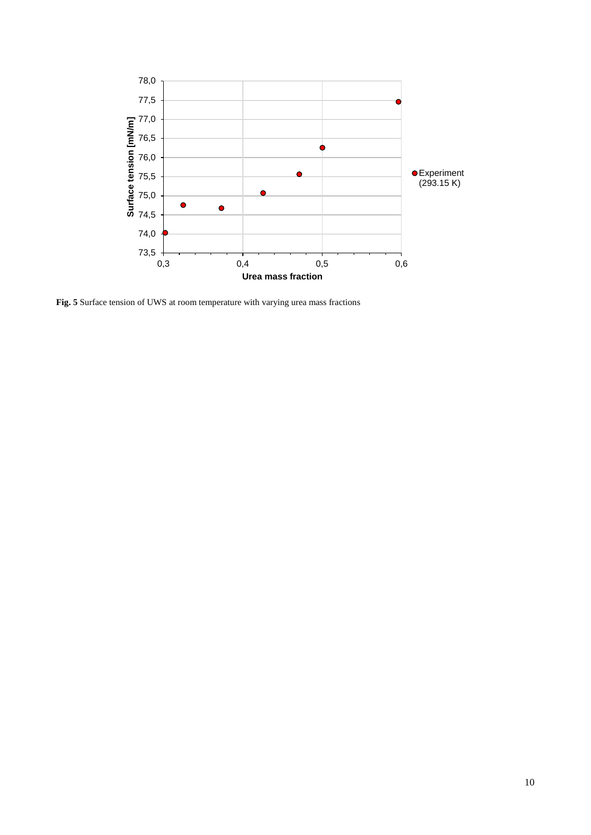

**Fig. 5** Surface tension of UWS at room temperature with varying urea mass fractions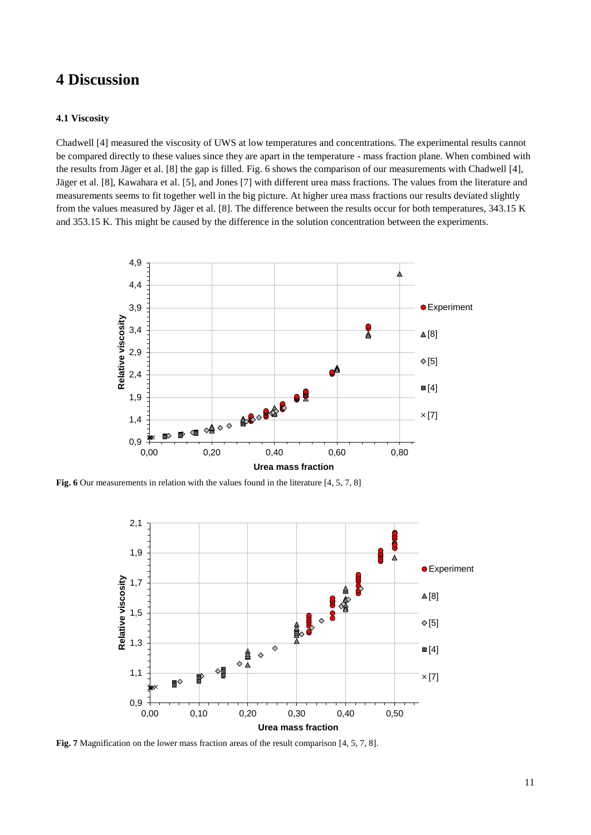### **4 Discussion**

#### **4.1 Viscosity**

Chadwell [4] measured the viscosity of UWS at low temperatures and concentrations. The experimental results cannot be compared directly to these values since they are apart in the temperature - mass fraction plane. When combined with the results from Jäger et al. [8] the gap is filled. Fig. 6 shows the comparison of our measurements with Chadwell [4], Jäger et al. [8], Kawahara et al. [5], and Jones [7] with different urea mass fractions. The values from the literature and measurements seems to fit together well in the big picture. At higher urea mass fractions our results deviated slightly from the values measured by Jäger et al. [8]. The difference between the results occur for both temperatures, 343.15 K and 353.15 K. This might be caused by the difference in the solution concentration between the experiments.



Fig. 6 Our measurements in relation with the values found in the literature [4, 5, 7, 8]



**Fig. 7** Magnification on the lower mass fraction areas of the result comparison [4, 5, 7, 8].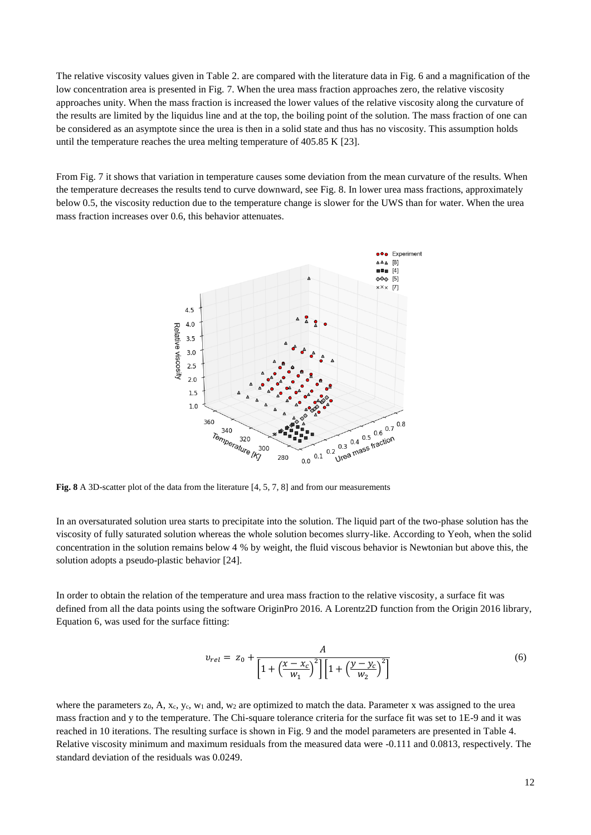The relative viscosity values given in Table 2. are compared with the literature data in Fig. 6 and a magnification of the low concentration area is presented in Fig. 7. When the urea mass fraction approaches zero, the relative viscosity approaches unity. When the mass fraction is increased the lower values of the relative viscosity along the curvature of the results are limited by the liquidus line and at the top, the boiling point of the solution. The mass fraction of one can be considered as an asymptote since the urea is then in a solid state and thus has no viscosity. This assumption holds until the temperature reaches the urea melting temperature of 405.85 K [23].

From Fig. 7 it shows that variation in temperature causes some deviation from the mean curvature of the results. When the temperature decreases the results tend to curve downward, see Fig. 8. In lower urea mass fractions, approximately below 0.5, the viscosity reduction due to the temperature change is slower for the UWS than for water. When the urea mass fraction increases over 0.6, this behavior attenuates.



**Fig. 8** A 3D-scatter plot of the data from the literature [4, 5, 7, 8] and from our measurements

In an oversaturated solution urea starts to precipitate into the solution. The liquid part of the two-phase solution has the viscosity of fully saturated solution whereas the whole solution becomes slurry-like. According to Yeoh, when the solid concentration in the solution remains below 4 % by weight, the fluid viscous behavior is Newtonian but above this, the solution adopts a pseudo-plastic behavior [24].

In order to obtain the relation of the temperature and urea mass fraction to the relative viscosity, a surface fit was defined from all the data points using the software OriginPro 2016. A Lorentz2D function from the Origin 2016 library, Equation 6, was used for the surface fitting:

$$
v_{rel} = z_0 + \frac{A}{\left[1 + \left(\frac{x - x_c}{w_1}\right)^2\right] \left[1 + \left(\frac{y - y_c}{w_2}\right)^2\right]}
$$
(6)

where the parameters  $z_0$ , A,  $x_c$ ,  $y_c$ ,  $w_1$  and,  $w_2$  are optimized to match the data. Parameter x was assigned to the urea mass fraction and y to the temperature. The Chi-square tolerance criteria for the surface fit was set to 1E-9 and it was reached in 10 iterations. The resulting surface is shown in Fig. 9 and the model parameters are presented in Table 4. Relative viscosity minimum and maximum residuals from the measured data were -0.111 and 0.0813, respectively. The standard deviation of the residuals was 0.0249.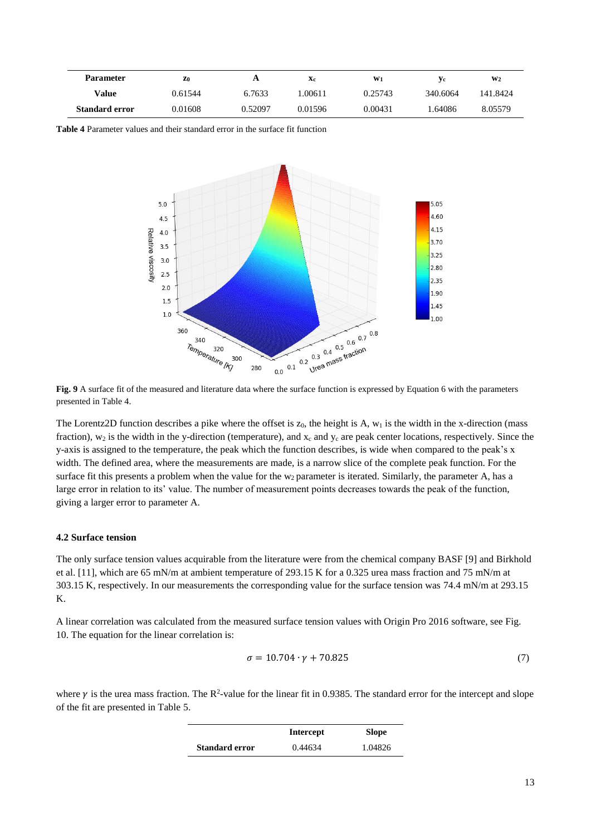| <b>Parameter</b>      | Z <sub>0</sub> | A       | Xc      | $W_1$   | Уc       | W <sub>2</sub> |
|-----------------------|----------------|---------|---------|---------|----------|----------------|
| Value                 | 0.61544        | 6.7633  | .00611  | 0.25743 | 340.6064 | 141.8424       |
| <b>Standard error</b> | 0.01608        | 0.52097 | 0.01596 | 0.00431 | .64086   | 8.05579        |

**Table 4** Parameter values and their standard error in the surface fit function



**Fig. 9** A surface fit of the measured and literature data where the surface function is expressed by Equation 6 with the parameters presented in Table 4.

The Lorentz2D function describes a pike where the offset is  $z_0$ , the height is A,  $w_1$  is the width in the x-direction (mass fraction),  $w_2$  is the width in the y-direction (temperature), and  $x_c$  and  $y_c$  are peak center locations, respectively. Since the y-axis is assigned to the temperature, the peak which the function describes, is wide when compared to the peak's x width. The defined area, where the measurements are made, is a narrow slice of the complete peak function. For the surface fit this presents a problem when the value for the  $w_2$  parameter is iterated. Similarly, the parameter A, has a large error in relation to its' value. The number of measurement points decreases towards the peak of the function, giving a larger error to parameter A.

#### **4.2 Surface tension**

The only surface tension values acquirable from the literature were from the chemical company BASF [9] and Birkhold et al. [11], which are 65 mN/m at ambient temperature of 293.15 K for a 0.325 urea mass fraction and 75 mN/m at 303.15 K, respectively. In our measurements the corresponding value for the surface tension was 74.4 mN/m at 293.15 K.

A linear correlation was calculated from the measured surface tension values with Origin Pro 2016 software, see Fig. 10. The equation for the linear correlation is:

$$
\sigma = 10.704 \cdot \gamma + 70.825\tag{7}
$$

where  $\gamma$  is the urea mass fraction. The R<sup>2</sup>-value for the linear fit in 0.9385. The standard error for the intercept and slope of the fit are presented in Table 5.

|                       | Intercept | <b>Slope</b> |
|-----------------------|-----------|--------------|
| <b>Standard error</b> | 0.44634   | 1.04826      |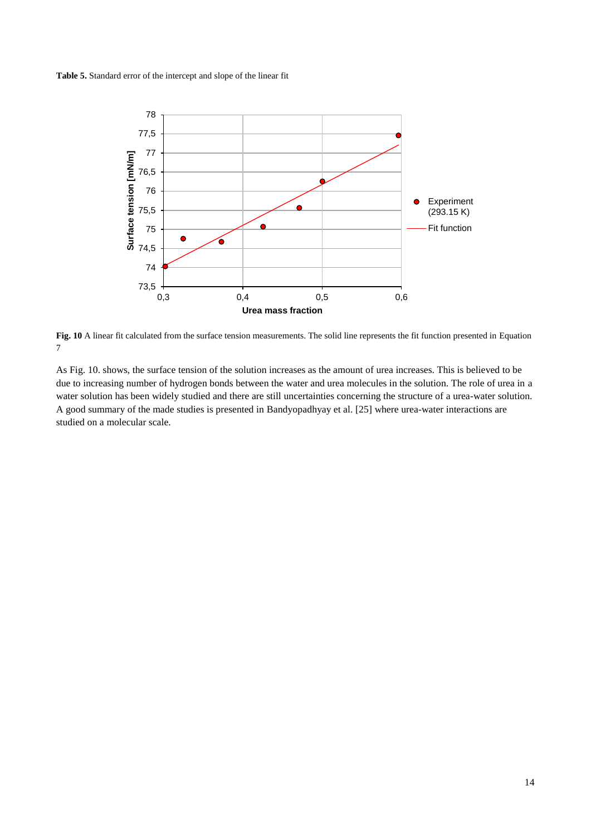**Table 5.** Standard error of the intercept and slope of the linear fit



**Fig. 10** A linear fit calculated from the surface tension measurements. The solid line represents the fit function presented in Equation 7

As Fig. 10. shows, the surface tension of the solution increases as the amount of urea increases. This is believed to be due to increasing number of hydrogen bonds between the water and urea molecules in the solution. The role of urea in a water solution has been widely studied and there are still uncertainties concerning the structure of a urea-water solution. A good summary of the made studies is presented in Bandyopadhyay et al. [25] where urea-water interactions are studied on a molecular scale.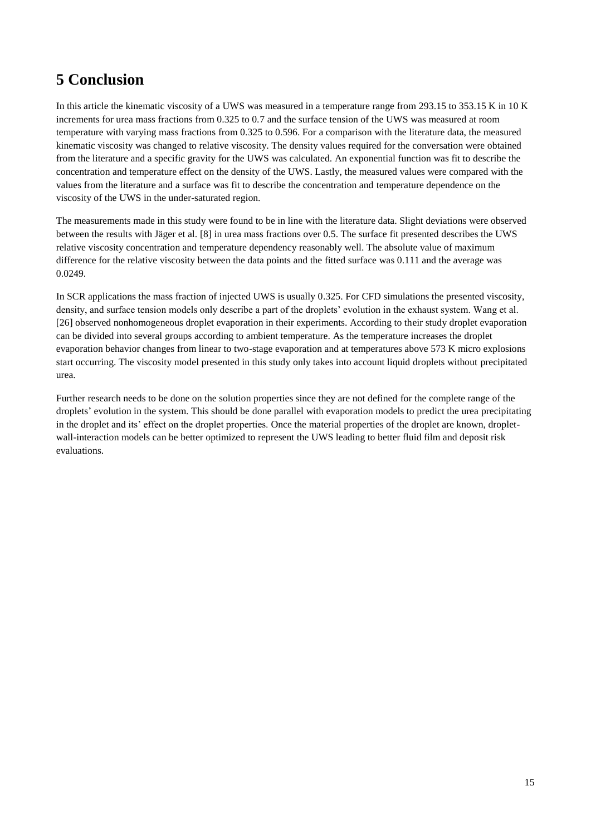# **5 Conclusion**

In this article the kinematic viscosity of a UWS was measured in a temperature range from 293.15 to 353.15 K in 10 K increments for urea mass fractions from 0.325 to 0.7 and the surface tension of the UWS was measured at room temperature with varying mass fractions from 0.325 to 0.596. For a comparison with the literature data, the measured kinematic viscosity was changed to relative viscosity. The density values required for the conversation were obtained from the literature and a specific gravity for the UWS was calculated. An exponential function was fit to describe the concentration and temperature effect on the density of the UWS. Lastly, the measured values were compared with the values from the literature and a surface was fit to describe the concentration and temperature dependence on the viscosity of the UWS in the under-saturated region.

The measurements made in this study were found to be in line with the literature data. Slight deviations were observed between the results with Jäger et al. [8] in urea mass fractions over 0.5. The surface fit presented describes the UWS relative viscosity concentration and temperature dependency reasonably well. The absolute value of maximum difference for the relative viscosity between the data points and the fitted surface was 0.111 and the average was 0.0249.

In SCR applications the mass fraction of injected UWS is usually 0.325. For CFD simulations the presented viscosity, density, and surface tension models only describe a part of the droplets' evolution in the exhaust system. Wang et al. [26] observed nonhomogeneous droplet evaporation in their experiments. According to their study droplet evaporation can be divided into several groups according to ambient temperature. As the temperature increases the droplet evaporation behavior changes from linear to two-stage evaporation and at temperatures above 573 K micro explosions start occurring. The viscosity model presented in this study only takes into account liquid droplets without precipitated urea.

Further research needs to be done on the solution properties since they are not defined for the complete range of the droplets' evolution in the system. This should be done parallel with evaporation models to predict the urea precipitating in the droplet and its' effect on the droplet properties. Once the material properties of the droplet are known, dropletwall-interaction models can be better optimized to represent the UWS leading to better fluid film and deposit risk evaluations.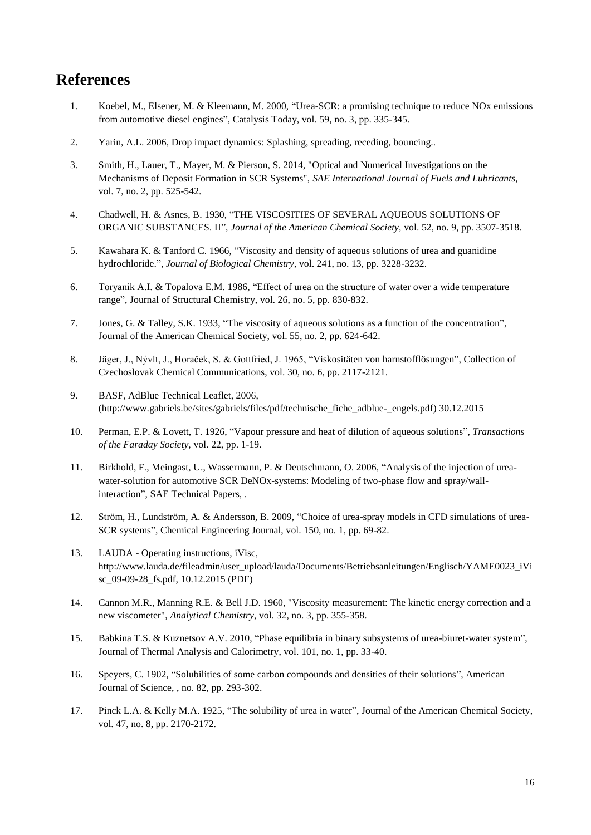### **References**

- 1. Koebel, M., Elsener, M. & Kleemann, M. 2000, "Urea-SCR: a promising technique to reduce NOx emissions from automotive diesel engines", Catalysis Today, vol. 59, no. 3, pp. 335-345.
- 2. Yarin, A.L. 2006, Drop impact dynamics: Splashing, spreading, receding, bouncing..
- 3. Smith, H., Lauer, T., Mayer, M. & Pierson, S. 2014, "Optical and Numerical Investigations on the Mechanisms of Deposit Formation in SCR Systems", *SAE International Journal of Fuels and Lubricants,* vol. 7, no. 2, pp. 525-542.
- 4. Chadwell, H. & Asnes, B. 1930, "THE VISCOSITIES OF SEVERAL AQUEOUS SOLUTIONS OF ORGANIC SUBSTANCES. II", *Journal of the American Chemical Society,* vol. 52, no. 9, pp. 3507-3518.
- 5. Kawahara K. & Tanford C. 1966, "Viscosity and density of aqueous solutions of urea and guanidine hydrochloride.", *Journal of Biological Chemistry,* vol. 241, no. 13, pp. 3228-3232.
- 6. Toryanik A.I. & Topalova E.M. 1986, "Effect of urea on the structure of water over a wide temperature range", Journal of Structural Chemistry, vol. 26, no. 5, pp. 830-832.
- 7. Jones, G. & Talley, S.K. 1933, "The viscosity of aqueous solutions as a function of the concentration", Journal of the American Chemical Society, vol. 55, no. 2, pp. 624-642.
- 8. Jäger, J., Nývlt, J., Horaček, S. & Gottfried, J. 1965, "Viskositäten von harnstofflösungen", Collection of Czechoslovak Chemical Communications, vol. 30, no. 6, pp. 2117-2121.
- 9. BASF, AdBlue Technical Leaflet, 2006, (http://www.gabriels.be/sites/gabriels/files/pdf/technische\_fiche\_adblue-\_engels.pdf) 30.12.2015
- 10. Perman, E.P. & Lovett, T. 1926, "Vapour pressure and heat of dilution of aqueous solutions", *Transactions of the Faraday Society,* vol. 22, pp. 1-19.
- 11. Birkhold, F., Meingast, U., Wassermann, P. & Deutschmann, O. 2006, "Analysis of the injection of ureawater-solution for automotive SCR DeNOx-systems: Modeling of two-phase flow and spray/wallinteraction", SAE Technical Papers, .
- 12. Ström, H., Lundström, A. & Andersson, B. 2009, "Choice of urea-spray models in CFD simulations of urea-SCR systems", Chemical Engineering Journal, vol. 150, no. 1, pp. 69-82.
- 13. LAUDA Operating instructions, iVisc, http://www.lauda.de/fileadmin/user\_upload/lauda/Documents/Betriebsanleitungen/Englisch/YAME0023\_iVi sc\_09-09-28\_fs.pdf, 10.12.2015 (PDF)
- 14. Cannon M.R., Manning R.E. & Bell J.D. 1960, "Viscosity measurement: The kinetic energy correction and a new viscometer", *Analytical Chemistry,* vol. 32, no. 3, pp. 355-358.
- 15. Babkina T.S. & Kuznetsov A.V. 2010, "Phase equilibria in binary subsystems of urea-biuret-water system", Journal of Thermal Analysis and Calorimetry, vol. 101, no. 1, pp. 33-40.
- 16. Speyers, C. 1902, "Solubilities of some carbon compounds and densities of their solutions", American Journal of Science, , no. 82, pp. 293-302.
- 17. Pinck L.A. & Kelly M.A. 1925, "The solubility of urea in water", Journal of the American Chemical Society, vol. 47, no. 8, pp. 2170-2172.